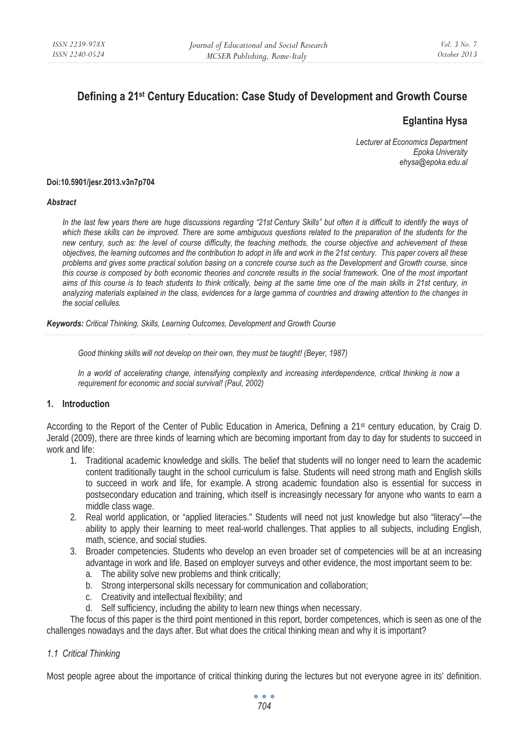# **Defining a 21st Century Education: Case Study of Development and Growth Course**

# **Eglantina Hysa**

*Lecturer at Economics Department Epoka University ehysa@epoka.edu.al* 

#### **Doi:10.5901/jesr.2013.v3n7p704**

#### *Abstract*

*In the last few years there are huge discussions regarding "21st Century Skills" but often it is difficult to identify the ways of*  which these skills can be improved. There are some ambiguous questions related to the preparation of the students for the *new century, such as: the level of course difficulty, the teaching methods, the course objective and achievement of these objectives, the learning outcomes and the contribution to adopt in life and work in the 21st century. This paper covers all these problems and gives some practical solution basing on a concrete course such as the Development and Growth course, since this course is composed by both economic theories and concrete results in the social framework. One of the most important aims of this course is to teach students to think critically, being at the same time one of the main skills in 21st century, in analyzing materials explained in the class, evidences for a large gamma of countries and drawing attention to the changes in the social cellules.* 

*Keywords: Critical Thinking, Skills, Learning Outcomes, Development and Growth Course* 

Good thinking skills will not develop on their own, they must be taught! (Beyer, 1987)

*In a world of accelerating change, intensifying complexity and increasing interdependence, critical thinking is now a requirement for economic and social survival! (Paul, 2002)* 

# **1. Introduction**

According to the Report of the Center of Public Education in America, Defining a 21st century education, by Craig D. Jerald (2009), there are three kinds of learning which are becoming important from day to day for students to succeed in work and life:

- 1. Traditional academic knowledge and skills. The belief that students will no longer need to learn the academic content traditionally taught in the school curriculum is false. Students will need strong math and English skills to succeed in work and life, for example. A strong academic foundation also is essential for success in postsecondary education and training, which itself is increasingly necessary for anyone who wants to earn a middle class wage.
- 2. Real world application, or "applied literacies." Students will need not just knowledge but also "literacy"—the ability to apply their learning to meet real-world challenges. That applies to all subjects, including English, math, science, and social studies.
- 3. Broader competencies. Students who develop an even broader set of competencies will be at an increasing advantage in work and life. Based on employer surveys and other evidence, the most important seem to be:
	- a. The ability solve new problems and think critically;
	- b. Strong interpersonal skills necessary for communication and collaboration;
	- c. Creativity and intellectual flexibility; and
	- d. Self sufficiency, including the ability to learn new things when necessary.

The focus of this paper is the third point mentioned in this report, border competences, which is seen as one of the challenges nowadays and the days after. But what does the critical thinking mean and why it is important?

#### *1.1 Critical Thinking*

Most people agree about the importance of critical thinking during the lectures but not everyone agree in its' definition.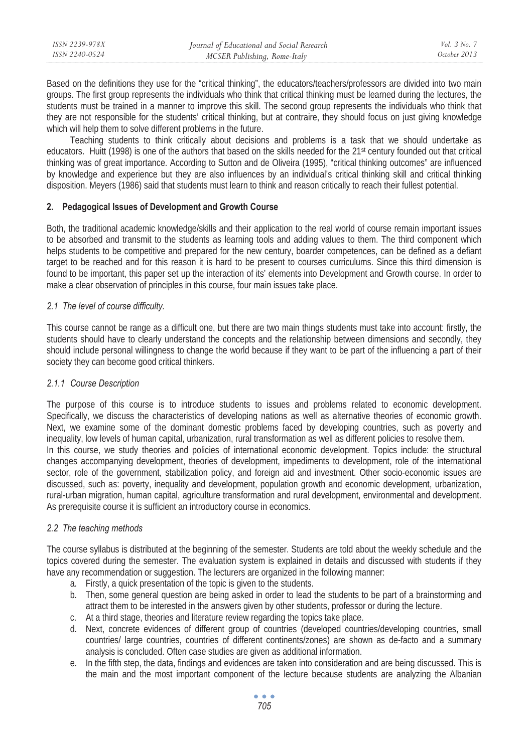| ISSN 2239-978X | Journal of Educational and Social Research | Vol. 3 No. 7 |
|----------------|--------------------------------------------|--------------|
| ISSN 2240-0524 | MCSER Publishing, Rome-Italy               | October 2013 |
|                |                                            |              |

Based on the definitions they use for the "critical thinking", the educators/teachers/professors are divided into two main groups. The first group represents the individuals who think that critical thinking must be learned during the lectures, the students must be trained in a manner to improve this skill. The second group represents the individuals who think that they are not responsible for the students' critical thinking, but at contraire, they should focus on just giving knowledge which will help them to solve different problems in the future.

Teaching students to think critically about decisions and problems is a task that we should undertake as educators. Huitt (1998) is one of the authors that based on the skills needed for the 21st century founded out that critical thinking was of great importance. According to Sutton and de Oliveira (1995), "critical thinking outcomes" are influenced by knowledge and experience but they are also influences by an individual's critical thinking skill and critical thinking disposition. Meyers (1986) said that students must learn to think and reason critically to reach their fullest potential.

## **2. Pedagogical Issues of Development and Growth Course**

Both, the traditional academic knowledge/skills and their application to the real world of course remain important issues to be absorbed and transmit to the students as learning tools and adding values to them. The third component which helps students to be competitive and prepared for the new century, boarder competences, can be defined as a defiant target to be reached and for this reason it is hard to be present to courses curriculums. Since this third dimension is found to be important, this paper set up the interaction of its' elements into Development and Growth course. In order to make a clear observation of principles in this course, four main issues take place.

## *2.1 The level of course difficulty.*

This course cannot be range as a difficult one, but there are two main things students must take into account: firstly, the students should have to clearly understand the concepts and the relationship between dimensions and secondly, they should include personal willingness to change the world because if they want to be part of the influencing a part of their society they can become good critical thinkers.

#### *2.1.1 Course Description*

The purpose of this course is to introduce students to issues and problems related to economic development. Specifically, we discuss the characteristics of developing nations as well as alternative theories of economic growth. Next, we examine some of the dominant domestic problems faced by developing countries, such as poverty and inequality, low levels of human capital, urbanization, rural transformation as well as different policies to resolve them. In this course, we study theories and policies of international economic development. Topics include: the structural changes accompanying development, theories of development, impediments to development, role of the international sector, role of the government, stabilization policy, and foreign aid and investment. Other socio-economic issues are discussed, such as: poverty, inequality and development, population growth and economic development, urbanization, rural-urban migration, human capital, agriculture transformation and rural development, environmental and development. As prerequisite course it is sufficient an introductory course in economics.

#### *2.2 The teaching methods*

The course syllabus is distributed at the beginning of the semester. Students are told about the weekly schedule and the topics covered during the semester. The evaluation system is explained in details and discussed with students if they have any recommendation or suggestion. The lecturers are organized in the following manner:

- a. Firstly, a quick presentation of the topic is given to the students.
- b. Then, some general question are being asked in order to lead the students to be part of a brainstorming and attract them to be interested in the answers given by other students, professor or during the lecture.
- c. At a third stage, theories and literature review regarding the topics take place.
- d. Next, concrete evidences of different group of countries (developed countries/developing countries, small countries/ large countries, countries of different continents/zones) are shown as de-facto and a summary analysis is concluded. Often case studies are given as additional information.
- e. In the fifth step, the data, findings and evidences are taken into consideration and are being discussed. This is the main and the most important component of the lecture because students are analyzing the Albanian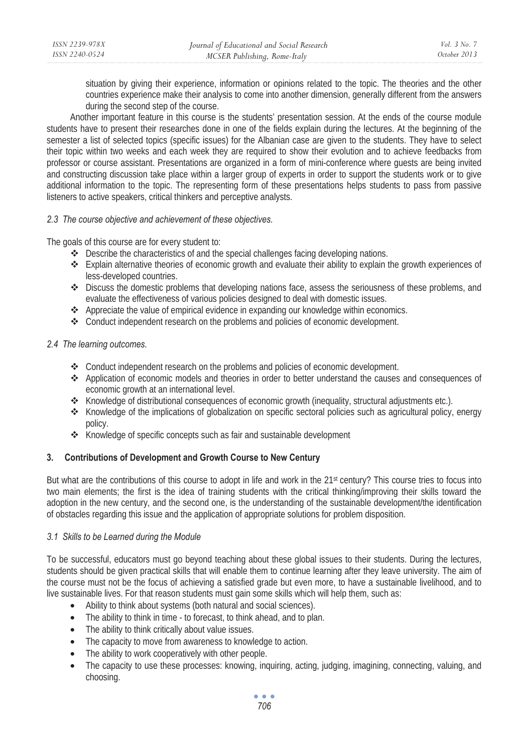situation by giving their experience, information or opinions related to the topic. The theories and the other countries experience make their analysis to come into another dimension, generally different from the answers during the second step of the course.

Another important feature in this course is the students' presentation session. At the ends of the course module students have to present their researches done in one of the fields explain during the lectures. At the beginning of the semester a list of selected topics (specific issues) for the Albanian case are given to the students. They have to select their topic within two weeks and each week they are required to show their evolution and to achieve feedbacks from professor or course assistant. Presentations are organized in a form of mini-conference where guests are being invited and constructing discussion take place within a larger group of experts in order to support the students work or to give additional information to the topic. The representing form of these presentations helps students to pass from passive listeners to active speakers, critical thinkers and perceptive analysts.

## *2.3 The course objective and achievement of these objectives.*

The goals of this course are for every student to:

- $\triangle$  Describe the characteristics of and the special challenges facing developing nations.
- Explain alternative theories of economic growth and evaluate their ability to explain the growth experiences of less-developed countries.
- Discuss the domestic problems that developing nations face, assess the seriousness of these problems, and evaluate the effectiveness of various policies designed to deal with domestic issues.
- $\triangleq$  Appreciate the value of empirical evidence in expanding our knowledge within economics.
- \* Conduct independent research on the problems and policies of economic development.

## *2.4 The learning outcomes.*

- Conduct independent research on the problems and policies of economic development.
- Application of economic models and theories in order to better understand the causes and consequences of economic growth at an international level.
- \* Knowledge of distributional consequences of economic growth (inequality, structural adjustments etc.).
- \* Knowledge of the implications of globalization on specific sectoral policies such as agricultural policy, energy policy.
- \* Knowledge of specific concepts such as fair and sustainable development

# **3. Contributions of Development and Growth Course to New Century**

But what are the contributions of this course to adopt in life and work in the 21<sup>st</sup> century? This course tries to focus into two main elements; the first is the idea of training students with the critical thinking/improving their skills toward the adoption in the new century, and the second one, is the understanding of the sustainable development/the identification of obstacles regarding this issue and the application of appropriate solutions for problem disposition.

#### *3.1 Skills to be Learned during the Module*

To be successful, educators must go beyond teaching about these global issues to their students. During the lectures, students should be given practical skills that will enable them to continue learning after they leave university. The aim of the course must not be the focus of achieving a satisfied grade but even more, to have a sustainable livelihood, and to live sustainable lives. For that reason students must gain some skills which will help them, such as:

- Ability to think about systems (both natural and social sciences).
- The ability to think in time to forecast, to think ahead, and to plan.
- The ability to think critically about value issues.
- The capacity to move from awareness to knowledge to action.
- The ability to work cooperatively with other people.
- The capacity to use these processes: knowing, inquiring, acting, judging, imagining, connecting, valuing, and choosing.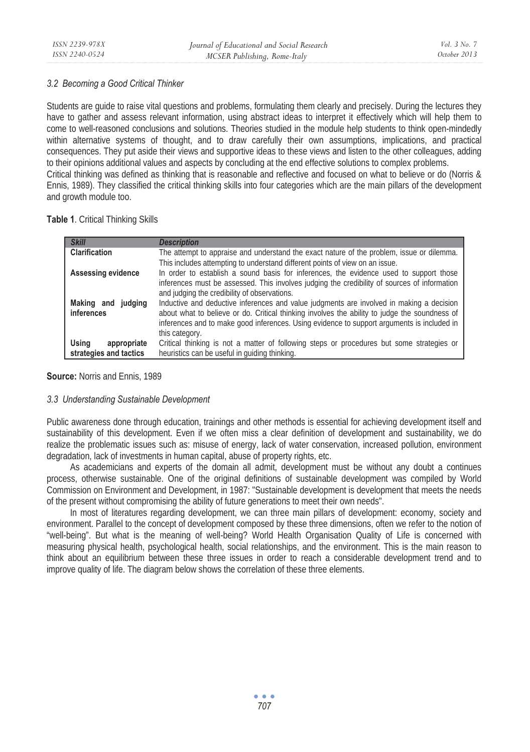# *3.2 Becoming a Good Critical Thinker*

Students are guide to raise vital questions and problems, formulating them clearly and precisely. During the lectures they have to gather and assess relevant information, using abstract ideas to interpret it effectively which will help them to come to well-reasoned conclusions and solutions. Theories studied in the module help students to think open-mindedly within alternative systems of thought, and to draw carefully their own assumptions, implications, and practical consequences. They put aside their views and supportive ideas to these views and listen to the other colleagues, adding to their opinions additional values and aspects by concluding at the end effective solutions to complex problems. Critical thinking was defined as thinking that is reasonable and reflective and focused on what to believe or do (Norris & Ennis, 1989). They classified the critical thinking skills into four categories which are the main pillars of the development and growth module too.

**Table 1**. Critical Thinking Skills

| <b>Skill</b>           | <b>Description</b>                                                                            |
|------------------------|-----------------------------------------------------------------------------------------------|
| <b>Clarification</b>   | The attempt to appraise and understand the exact nature of the problem, issue or dilemma.     |
|                        | This includes attempting to understand different points of view on an issue.                  |
| Assessing evidence     | In order to establish a sound basis for inferences, the evidence used to support those        |
|                        | inferences must be assessed. This involves judging the credibility of sources of information  |
|                        | and judging the credibility of observations.                                                  |
| Making and<br>judging  | Inductive and deductive inferences and value judgments are involved in making a decision      |
| inferences             | about what to believe or do. Critical thinking involves the ability to judge the soundness of |
|                        | inferences and to make good inferences. Using evidence to support arguments is included in    |
|                        | this category.                                                                                |
| Using<br>appropriate   | Critical thinking is not a matter of following steps or procedures but some strategies or     |
| strategies and tactics | heuristics can be useful in quiding thinking.                                                 |

**Source:** Norris and Ennis, 1989

#### *3.3 Understanding Sustainable Development*

Public awareness done through education, trainings and other methods is essential for achieving development itself and sustainability of this development. Even if we often miss a clear definition of development and sustainability, we do realize the problematic issues such as: misuse of energy, lack of water conservation, increased pollution, environment degradation, lack of investments in human capital, abuse of property rights, etc.

As academicians and experts of the domain all admit, development must be without any doubt a continues process, otherwise sustainable. One of the original definitions of sustainable development was compiled by World Commission on Environment and Development, in 1987: "Sustainable development is development that meets the needs of the present without compromising the ability of future generations to meet their own needs".

In most of literatures regarding development, we can three main pillars of development: economy, society and environment. Parallel to the concept of development composed by these three dimensions, often we refer to the notion of "well-being". But what is the meaning of well-being? World Health Organisation Quality of Life is concerned with measuring physical health, psychological health, social relationships, and the environment. This is the main reason to think about an equilibrium between these three issues in order to reach a considerable development trend and to improve quality of life. The diagram below shows the correlation of these three elements.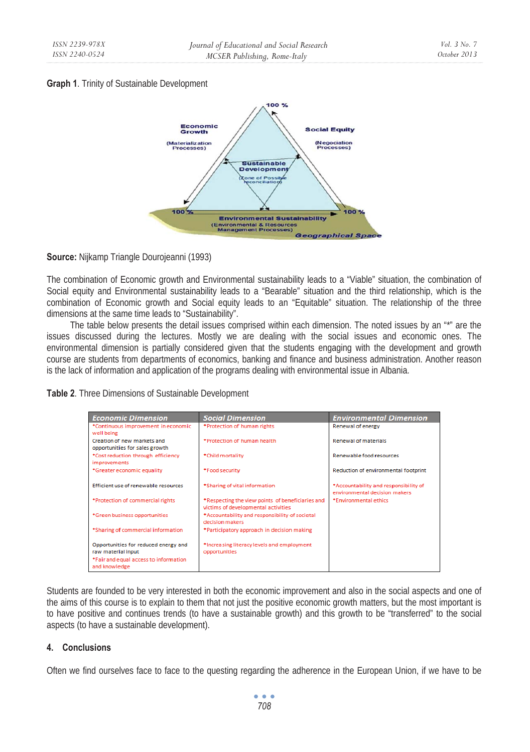# **Graph 1**. Trinity of Sustainable Development



## **Source:** Nijkamp Triangle Dourojeanni (1993)

The combination of Economic growth and Environmental sustainability leads to a "Viable" situation, the combination of Social equity and Environmental sustainability leads to a "Bearable" situation and the third relationship, which is the combination of Economic growth and Social equity leads to an "Equitable" situation. The relationship of the three dimensions at the same time leads to "Sustainability".

The table below presents the detail issues comprised within each dimension. The noted issues by an "\*" are the issues discussed during the lectures. Mostly we are dealing with the social issues and economic ones. The environmental dimension is partially considered given that the students engaging with the development and growth course are students from departments of economics, banking and finance and business administration. Another reason is the lack of information and application of the programs dealing with environmental issue in Albania.

**Table 2**. Three Dimensions of Sustainable Development

| <b>Economic Dimension</b>                                                                                            | <b>Social Dimension</b>                                                                 | <b>Environmental Dimension</b>                                         |
|----------------------------------------------------------------------------------------------------------------------|-----------------------------------------------------------------------------------------|------------------------------------------------------------------------|
| *Continuous improvement in economic<br>well being                                                                    | *Protection of human rights                                                             | Renewal of energy                                                      |
| Creation of new markets and<br>opportunities for sales growth                                                        | *Protection of human health                                                             | Renewal of materials                                                   |
| *Cost reduction through efficiency<br>improvements                                                                   | *Child mortality                                                                        | Renewable food resources                                               |
| *Greater economic equality                                                                                           | *Food security                                                                          | Reduction of environmental footprint                                   |
| Efficient use of renewable resources.                                                                                | *Sharing of vital information                                                           | *Accountability and responsibility of<br>environmental decision makers |
| *Protection of commercial rights                                                                                     | *Respecting the view points of beneficiaries and<br>victims of developmental activities | *Environmental ethics                                                  |
| *Green business opportunities                                                                                        | *Accountability and responsibility of societal<br>decision makers                       |                                                                        |
| *Sharing of commercial information                                                                                   | *Participatory approach in decision making                                              |                                                                        |
| Opportunities for reduced energy and<br>raw material input<br>*Fair and equal access to information<br>and knowledge | *Increasing literacy levels and employment<br>opportunities                             |                                                                        |

Students are founded to be very interested in both the economic improvement and also in the social aspects and one of the aims of this course is to explain to them that not just the positive economic growth matters, but the most important is to have positive and continues trends (to have a sustainable growth) and this growth to be "transferred" to the social aspects (to have a sustainable development).

# **4. Conclusions**

Often we find ourselves face to face to the questing regarding the adherence in the European Union, if we have to be